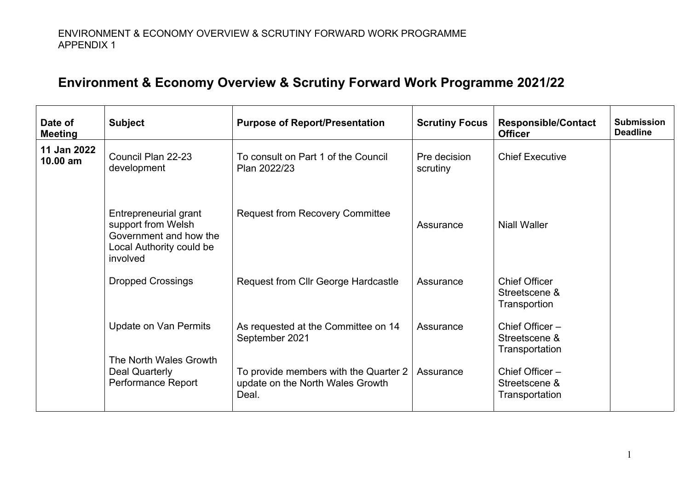## **Environment & Economy Overview & Scrutiny Forward Work Programme 2021/22**

| Date of<br><b>Meeting</b> | <b>Subject</b>                                                                                                | <b>Purpose of Report/Presentation</b>                                              | <b>Scrutiny Focus</b>    | <b>Responsible/Contact</b><br><b>Officer</b>          | <b>Submission</b><br><b>Deadline</b> |
|---------------------------|---------------------------------------------------------------------------------------------------------------|------------------------------------------------------------------------------------|--------------------------|-------------------------------------------------------|--------------------------------------|
| 11 Jan 2022<br>10.00 am   | Council Plan 22-23<br>development                                                                             | To consult on Part 1 of the Council<br>Plan 2022/23                                | Pre decision<br>scrutiny | <b>Chief Executive</b>                                |                                      |
|                           | Entrepreneurial grant<br>support from Welsh<br>Government and how the<br>Local Authority could be<br>involved | <b>Request from Recovery Committee</b>                                             | Assurance                | <b>Niall Waller</b>                                   |                                      |
|                           | <b>Dropped Crossings</b>                                                                                      | Request from Cllr George Hardcastle                                                | Assurance                | <b>Chief Officer</b><br>Streetscene &<br>Transportion |                                      |
|                           | <b>Update on Van Permits</b><br>The North Wales Growth<br>Deal Quarterly<br>Performance Report                | As requested at the Committee on 14<br>September 2021                              | Assurance                | Chief Officer -<br>Streetscene &<br>Transportation    |                                      |
|                           |                                                                                                               | To provide members with the Quarter 2<br>update on the North Wales Growth<br>Deal. | Assurance                | Chief Officer-<br>Streetscene &<br>Transportation     |                                      |